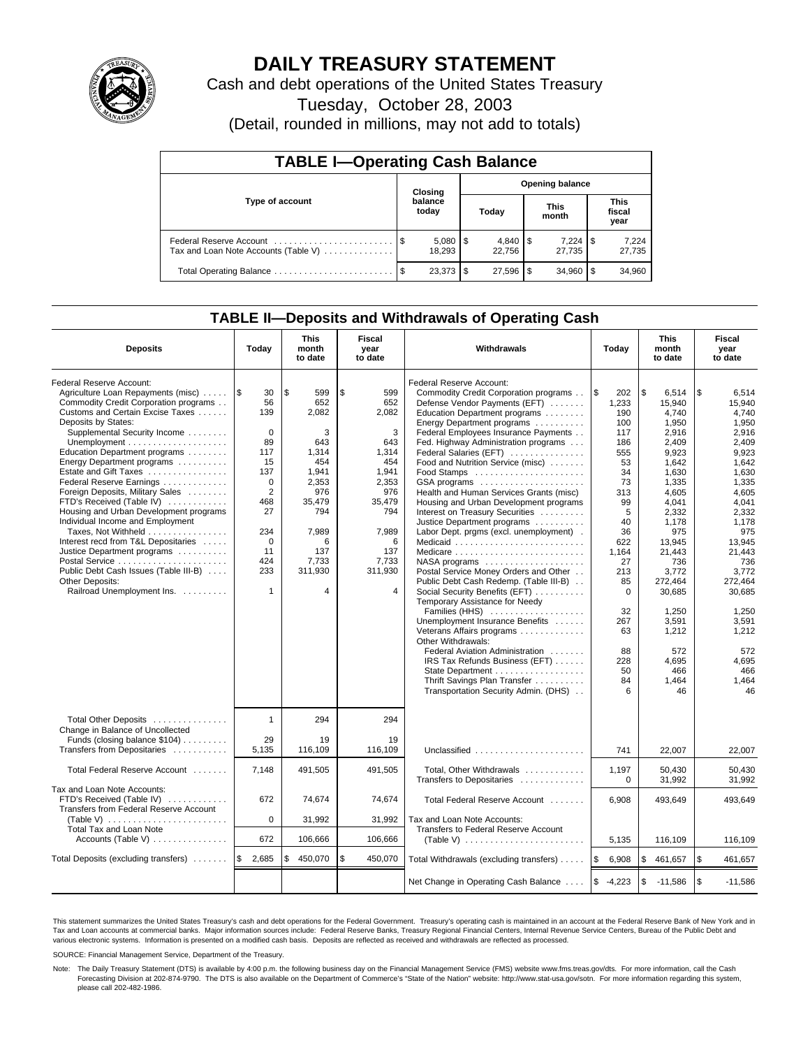

# **DAILY TREASURY STATEMENT**

Cash and debt operations of the United States Treasury

Tuesday, October 28, 2003

(Detail, rounded in millions, may not add to totals)

| <b>TABLE I-Operating Cash Balance</b>                           |                  |                        |   |                        |  |                        |  |                               |  |  |
|-----------------------------------------------------------------|------------------|------------------------|---|------------------------|--|------------------------|--|-------------------------------|--|--|
|                                                                 |                  | Closing                |   |                        |  | <b>Opening balance</b> |  |                               |  |  |
| Type of account                                                 | balance<br>today |                        |   | Today                  |  | <b>This</b><br>month   |  | <b>This</b><br>fiscal<br>year |  |  |
| Federal Reserve Account<br>Tax and Loan Note Accounts (Table V) |                  | $5,080$   \$<br>18.293 |   | $4,840$ \ \$<br>22.756 |  | 27.735                 |  | 7,224<br>27,735               |  |  |
| Total Operating Balance                                         |                  | 23.373                 | S | $27.596$ \ \$          |  | 34.960                 |  | 34,960                        |  |  |

## **TABLE II—Deposits and Withdrawals of Operating Cash**

| <b>Deposits</b>                                                                                                                                                                                                                                                                                                                                                                                                                                                                                                                                                                                                                                              | Today                                                                                                                                                                       | <b>This</b><br>month<br>to date                                                                                                               | Fiscal<br>year<br>to date                                                                                                                     | <b>Withdrawals</b>                                                                                                                                                                                                                                                                                                                                                                                                                                                                                                                                                                                                                                                                                                                                                                                                                                                                                                                                                                                                                                 | Today                                                                                                                                                                                                      | <b>This</b><br>month<br>to date                                                                                                                                                                                                                                    | Fiscal<br>year<br>to date                                                                                                                                                                                                                                          |
|--------------------------------------------------------------------------------------------------------------------------------------------------------------------------------------------------------------------------------------------------------------------------------------------------------------------------------------------------------------------------------------------------------------------------------------------------------------------------------------------------------------------------------------------------------------------------------------------------------------------------------------------------------------|-----------------------------------------------------------------------------------------------------------------------------------------------------------------------------|-----------------------------------------------------------------------------------------------------------------------------------------------|-----------------------------------------------------------------------------------------------------------------------------------------------|----------------------------------------------------------------------------------------------------------------------------------------------------------------------------------------------------------------------------------------------------------------------------------------------------------------------------------------------------------------------------------------------------------------------------------------------------------------------------------------------------------------------------------------------------------------------------------------------------------------------------------------------------------------------------------------------------------------------------------------------------------------------------------------------------------------------------------------------------------------------------------------------------------------------------------------------------------------------------------------------------------------------------------------------------|------------------------------------------------------------------------------------------------------------------------------------------------------------------------------------------------------------|--------------------------------------------------------------------------------------------------------------------------------------------------------------------------------------------------------------------------------------------------------------------|--------------------------------------------------------------------------------------------------------------------------------------------------------------------------------------------------------------------------------------------------------------------|
| Federal Reserve Account:<br>Agriculture Loan Repayments (misc)<br>Commodity Credit Corporation programs<br>Customs and Certain Excise Taxes<br>Deposits by States:<br>Supplemental Security Income<br>Education Department programs<br>Energy Department programs<br>Estate and Gift Taxes<br>Federal Reserve Earnings<br>Foreign Deposits, Military Sales<br>FTD's Received (Table IV)<br>Housing and Urban Development programs<br>Individual Income and Employment<br>Taxes, Not Withheld<br>Interest recd from T&L Depositaries<br>Justice Department programs<br>Public Debt Cash Issues (Table III-B)<br>Other Deposits:<br>Railroad Unemployment Ins. | $\sqrt{3}$<br>30<br>56<br>139<br>$\mathbf 0$<br>89<br>117<br>15<br>137<br>$\Omega$<br>$\overline{2}$<br>468<br>27<br>234<br>$\mathbf 0$<br>11<br>424<br>233<br>$\mathbf{1}$ | \$<br>599<br>652<br>2.082<br>3<br>643<br>1,314<br>454<br>1.941<br>2,353<br>976<br>35,479<br>794<br>7,989<br>6<br>137<br>7,733<br>311,930<br>4 | \$<br>599<br>652<br>2,082<br>3<br>643<br>1,314<br>454<br>1.941<br>2,353<br>976<br>35,479<br>794<br>7,989<br>6<br>137<br>7,733<br>311,930<br>4 | Federal Reserve Account:<br>Commodity Credit Corporation programs<br>Defense Vendor Payments (EFT)<br>Education Department programs<br>Energy Department programs<br>Federal Employees Insurance Payments<br>Fed. Highway Administration programs<br>Federal Salaries (EFT)<br>Food and Nutrition Service (misc)<br>GSA programs<br>Health and Human Services Grants (misc)<br>Housing and Urban Development programs<br>Interest on Treasury Securities<br>Justice Department programs<br>Labor Dept. prgms (excl. unemployment).<br>Medicaid<br>Medicare<br>$NASA$ programs $\ldots \ldots \ldots \ldots \ldots$<br>Postal Service Money Orders and Other<br>Public Debt Cash Redemp. (Table III-B)<br>Social Security Benefits (EFT)<br>Temporary Assistance for Needy<br>Families (HHS)<br>Unemployment Insurance Benefits<br>Veterans Affairs programs<br>Other Withdrawals:<br>Federal Aviation Administration<br>IRS Tax Refunds Business (EFT)<br>State Department<br>Thrift Savings Plan Transfer<br>Transportation Security Admin. (DHS) | l \$<br>202<br>1,233<br>190<br>100<br>117<br>186<br>555<br>53<br>34<br>73<br>313<br>99<br>5<br>40<br>36<br>622<br>1,164<br>27<br>213<br>85<br>$\mathbf 0$<br>32<br>267<br>63<br>88<br>228<br>50<br>84<br>6 | \$<br>6,514<br>15.940<br>4.740<br>1,950<br>2.916<br>2,409<br>9,923<br>1,642<br>1.630<br>1,335<br>4,605<br>4.041<br>2,332<br>1,178<br>975<br>13.945<br>21,443<br>736<br>3.772<br>272,464<br>30,685<br>1.250<br>3,591<br>1,212<br>572<br>4,695<br>466<br>1,464<br>46 | \$<br>6,514<br>15.940<br>4.740<br>1,950<br>2,916<br>2,409<br>9,923<br>1,642<br>1.630<br>1,335<br>4,605<br>4.041<br>2,332<br>1,178<br>975<br>13.945<br>21,443<br>736<br>3.772<br>272.464<br>30,685<br>1.250<br>3,591<br>1,212<br>572<br>4,695<br>466<br>1,464<br>46 |
| Total Other Deposits<br>Change in Balance of Uncollected<br>Funds (closing balance \$104)<br>Transfers from Depositaries                                                                                                                                                                                                                                                                                                                                                                                                                                                                                                                                     | $\mathbf{1}$<br>29<br>5.135                                                                                                                                                 | 294<br>19<br>116,109                                                                                                                          | 294<br>19<br>116.109                                                                                                                          |                                                                                                                                                                                                                                                                                                                                                                                                                                                                                                                                                                                                                                                                                                                                                                                                                                                                                                                                                                                                                                                    | 741                                                                                                                                                                                                        | 22.007                                                                                                                                                                                                                                                             | 22.007                                                                                                                                                                                                                                                             |
| Total Federal Reserve Account                                                                                                                                                                                                                                                                                                                                                                                                                                                                                                                                                                                                                                | 7,148                                                                                                                                                                       | 491,505                                                                                                                                       | 491,505                                                                                                                                       | Total, Other Withdrawals<br>Transfers to Depositaries                                                                                                                                                                                                                                                                                                                                                                                                                                                                                                                                                                                                                                                                                                                                                                                                                                                                                                                                                                                              | 1,197<br>$\mathbf 0$                                                                                                                                                                                       | 50,430<br>31,992                                                                                                                                                                                                                                                   | 50,430<br>31,992                                                                                                                                                                                                                                                   |
| Tax and Loan Note Accounts:<br>FTD's Received (Table IV)<br>Transfers from Federal Reserve Account<br>(Table V) $\ldots \ldots \ldots \ldots \ldots \ldots \ldots$<br><b>Total Tax and Loan Note</b>                                                                                                                                                                                                                                                                                                                                                                                                                                                         | 672<br>$\Omega$                                                                                                                                                             | 74,674<br>31,992                                                                                                                              | 74,674<br>31,992                                                                                                                              | Total Federal Reserve Account<br>Tax and Loan Note Accounts:<br>Transfers to Federal Reserve Account                                                                                                                                                                                                                                                                                                                                                                                                                                                                                                                                                                                                                                                                                                                                                                                                                                                                                                                                               | 6,908                                                                                                                                                                                                      | 493,649                                                                                                                                                                                                                                                            | 493,649                                                                                                                                                                                                                                                            |
| Accounts (Table V)                                                                                                                                                                                                                                                                                                                                                                                                                                                                                                                                                                                                                                           | 672                                                                                                                                                                         | 106,666                                                                                                                                       | 106,666                                                                                                                                       | (Table V) $\ldots \ldots \ldots \ldots \ldots \ldots \ldots$                                                                                                                                                                                                                                                                                                                                                                                                                                                                                                                                                                                                                                                                                                                                                                                                                                                                                                                                                                                       | 5,135                                                                                                                                                                                                      | 116,109                                                                                                                                                                                                                                                            | 116,109                                                                                                                                                                                                                                                            |
| Total Deposits (excluding transfers)                                                                                                                                                                                                                                                                                                                                                                                                                                                                                                                                                                                                                         | 2,685<br>l \$                                                                                                                                                               | 450,070<br>\$                                                                                                                                 | \$<br>450,070                                                                                                                                 | Total Withdrawals (excluding transfers)                                                                                                                                                                                                                                                                                                                                                                                                                                                                                                                                                                                                                                                                                                                                                                                                                                                                                                                                                                                                            | <b>S</b><br>6,908                                                                                                                                                                                          | \$<br>461,657                                                                                                                                                                                                                                                      | \$<br>461,657                                                                                                                                                                                                                                                      |
|                                                                                                                                                                                                                                                                                                                                                                                                                                                                                                                                                                                                                                                              |                                                                                                                                                                             |                                                                                                                                               |                                                                                                                                               | Net Change in Operating Cash Balance                                                                                                                                                                                                                                                                                                                                                                                                                                                                                                                                                                                                                                                                                                                                                                                                                                                                                                                                                                                                               | <b>\$</b><br>$-4,223$                                                                                                                                                                                      | \$<br>$-11,586$                                                                                                                                                                                                                                                    | l \$<br>$-11,586$                                                                                                                                                                                                                                                  |

This statement summarizes the United States Treasury's cash and debt operations for the Federal Government. Treasury's operating cash is maintained in an account at the Federal Reserve Bank of New York and in Tax and Loan accounts at commercial banks. Major information sources include: Federal Reserve Banks, Treasury Regional Financial Centers, Internal Revenue Service Centers, Bureau of the Public Debt and<br>various electronic s

SOURCE: Financial Management Service, Department of the Treasury.

Note: The Daily Treasury Statement (DTS) is available by 4:00 p.m. the following business day on the Financial Management Service (FMS) website www.fms.treas.gov/dts. For more information, call the Cash Forecasting Division at 202-874-9790. The DTS is also available on the Department of Commerce's "State of the Nation" website: http://www.stat-usa.gov/sotn. For more information regarding this system, please call 202-482-1986.